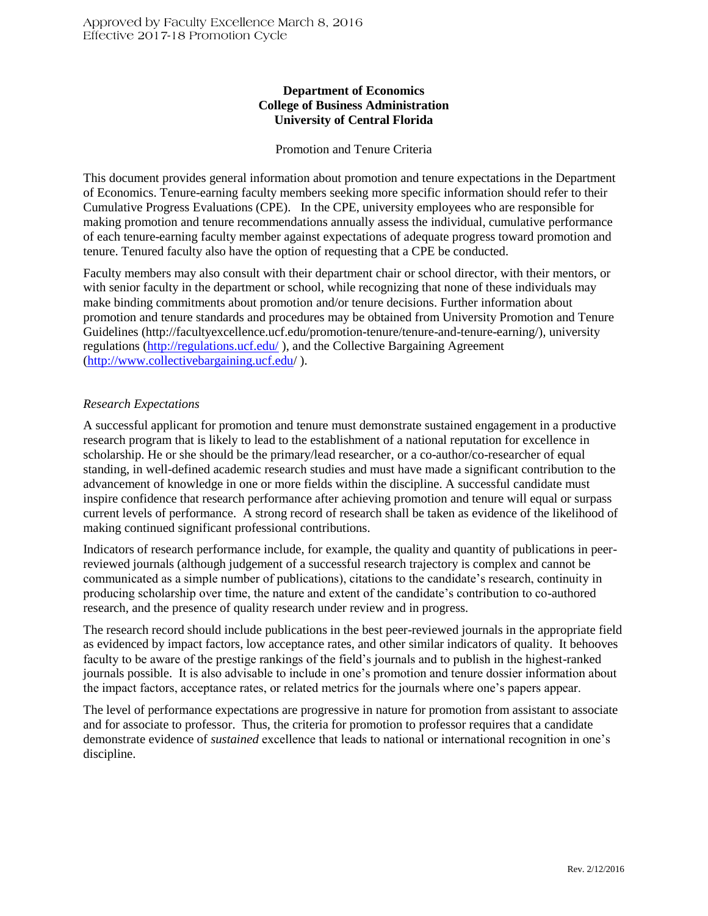# **Department of Economics College of Business Administration University of Central Florida**

### Promotion and Tenure Criteria

This document provides general information about promotion and tenure expectations in the Department of Economics. Tenure-earning faculty members seeking more specific information should refer to their Cumulative Progress Evaluations (CPE). In the CPE, university employees who are responsible for making promotion and tenure recommendations annually assess the individual, cumulative performance of each tenure-earning faculty member against expectations of adequate progress toward promotion and tenure. Tenured faculty also have the option of requesting that a CPE be conducted.

Faculty members may also consult with their department chair or school director, with their mentors, or with senior faculty in the department or school, while recognizing that none of these individuals may make binding commitments about promotion and/or tenure decisions. Further information about promotion and tenure standards and procedures may be obtained from University Promotion and Tenure Guidelines (http://facultyexcellence.ucf.edu/promotion-tenure/tenure-and-tenure-earning/), university regulations [\(http://regulations.ucf.edu/](http://regulations.ucf.edu/) ), and the Collective Bargaining Agreement [\(http://www.collectivebargaining.ucf.edu/](http://www.collectivebargaining.ucf.edu/) ).

# *Research Expectations*

A successful applicant for promotion and tenure must demonstrate sustained engagement in a productive research program that is likely to lead to the establishment of a national reputation for excellence in scholarship. He or she should be the primary/lead researcher, or a co-author/co-researcher of equal standing, in well-defined academic research studies and must have made a significant contribution to the advancement of knowledge in one or more fields within the discipline. A successful candidate must inspire confidence that research performance after achieving promotion and tenure will equal or surpass current levels of performance. A strong record of research shall be taken as evidence of the likelihood of making continued significant professional contributions.

Indicators of research performance include, for example, the quality and quantity of publications in peerreviewed journals (although judgement of a successful research trajectory is complex and cannot be communicated as a simple number of publications), citations to the candidate's research, continuity in producing scholarship over time, the nature and extent of the candidate's contribution to co-authored research, and the presence of quality research under review and in progress.

The research record should include publications in the best peer-reviewed journals in the appropriate field as evidenced by impact factors, low acceptance rates, and other similar indicators of quality. It behooves faculty to be aware of the prestige rankings of the field's journals and to publish in the highest-ranked journals possible. It is also advisable to include in one's promotion and tenure dossier information about the impact factors, acceptance rates, or related metrics for the journals where one's papers appear.

The level of performance expectations are progressive in nature for promotion from assistant to associate and for associate to professor. Thus, the criteria for promotion to professor requires that a candidate demonstrate evidence of *sustained* excellence that leads to national or international recognition in one's discipline.